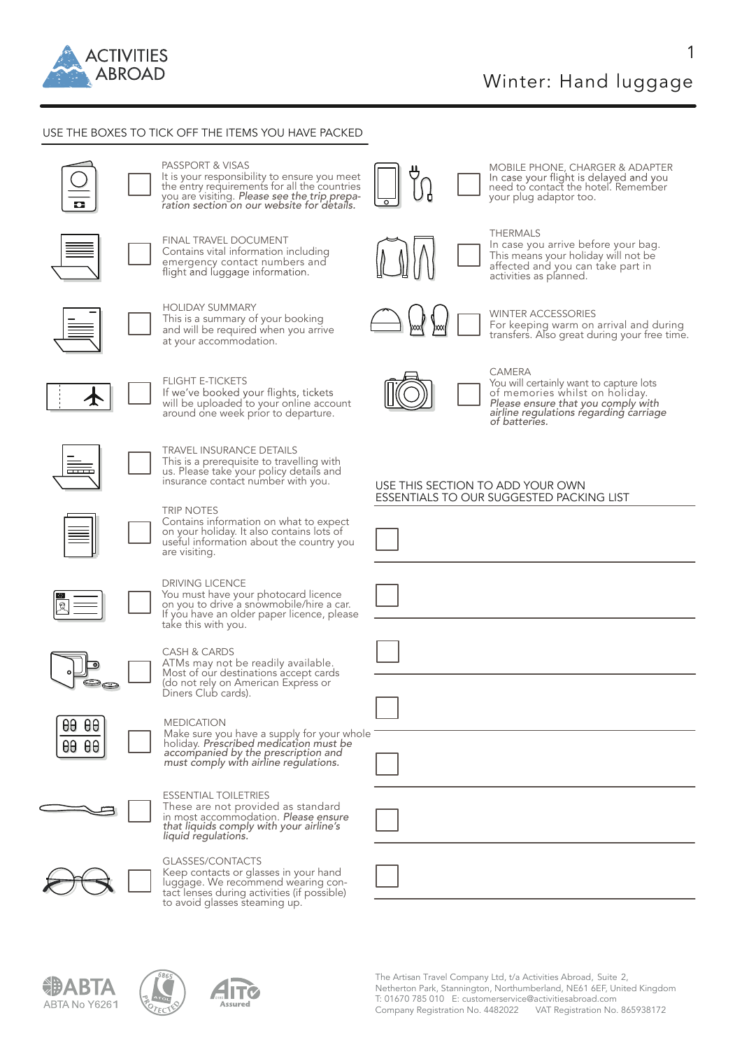

1

# USE THE BOXES TO TICK OFF THE ITEMS YOU HAVE PACKED



# PASSPORT & VISAS

It is your responsibility to ensure you meet the entry requirements for all the countries you are visiting. *Please see the trip prepa- ration section on our website for details.* 



FINAL TRAVEL DOCUMENT<br>Contains vital information including emergency contact numbers and<br>flight and luggage information.



HOLIDAY SUMMARY This is a summary of your booking and will be required when you arrive at your accommodation.



FLIGHT E-TICKETS<br>If we've booked your flights, tickets<br>will be uploaded to your online account will be uploaded to your online account around one week prior to departure.



# TRAVEL INSURANCE DETAILS<br>This is a prerequisite to travelling with

us. Please take your policy details and insurance contact number with you.



DRIVING LICENCE

TRIP NOTES<br>Contains information on what to expect Contains information on what to expect on your holiday. It also contains lots of useful information about the country you are visiting.

You must have your photocard licence<br>on you to drive a snowmobile/hire a car.



# If you have an older paper licence, please take this with you.

CASH & CARDS<br>ATMs may not be readily available. ATMs may not be readily available. Most of our destinations accept cards (do not rely on American Express or<br>Diners Club cards).



# MEDICATION

Make sure you have a supply for your whole holiday. *Prescribed medication must be accompanied by the prescription and must comply with airline regulations.* 



# ESSENTIAL TOILETRIES

These are not provided as standard in most accommodation. *Please ensure that liquids comply with your airline's liquid regulations.*



GLASSES/CONTACTS<br>Keep contacts or glasses in your hand Keep contacts or glasses in your hand luggage. We recommend wearing con- tact lenses during activities (if possible) to avoid glasses steaming up.









# MOBILE PHONE, CHARGER & ADAPTER In case your flight is delayed and you<br>need to contact the hotel. Remember your plug adaptor too.



# THERMALS

In case you arrive before your bag. This means your holiday will not be<br>affected and you can take part in<br>activities as planned.

# WINTER ACCESSORIES

For keeping warm on arrival and during transfers. Also great during your free time.



# **CAMERA**

You will certainly want to capture lots<br>of memories whilst on holiday.<br>*Please ensure that you comply with airline regulations regarding carriage of batteries.*

# USE THIS SECTION TO ADD YOUR OWN ESSENTIALS TO OUR SUGGESTED PACKING LIST

| $\Box$                                                                                                                                                                                                |  |
|-------------------------------------------------------------------------------------------------------------------------------------------------------------------------------------------------------|--|
| $\Box$                                                                                                                                                                                                |  |
| $\begin{tabular}{ c c c } \hline \quad \quad & \quad \quad & \quad \quad \\ \hline \quad \quad & \quad \quad & \quad \quad \\ \hline \quad \quad & \quad \quad & \quad \quad \\ \hline \end{tabular}$ |  |
| $\Box$                                                                                                                                                                                                |  |
| $\Box$                                                                                                                                                                                                |  |
| $\overline{\phantom{a}}$                                                                                                                                                                              |  |
|                                                                                                                                                                                                       |  |

The Artisan Travel Company Ltd, t/a Activities Abroad, Suite 2, Netherton Park, Stannington, Northumberland, NE61 6EF, United Kingdom T: 01670 785 010 E: customerservice@activitiesabroad.com Company Registration No. 4482022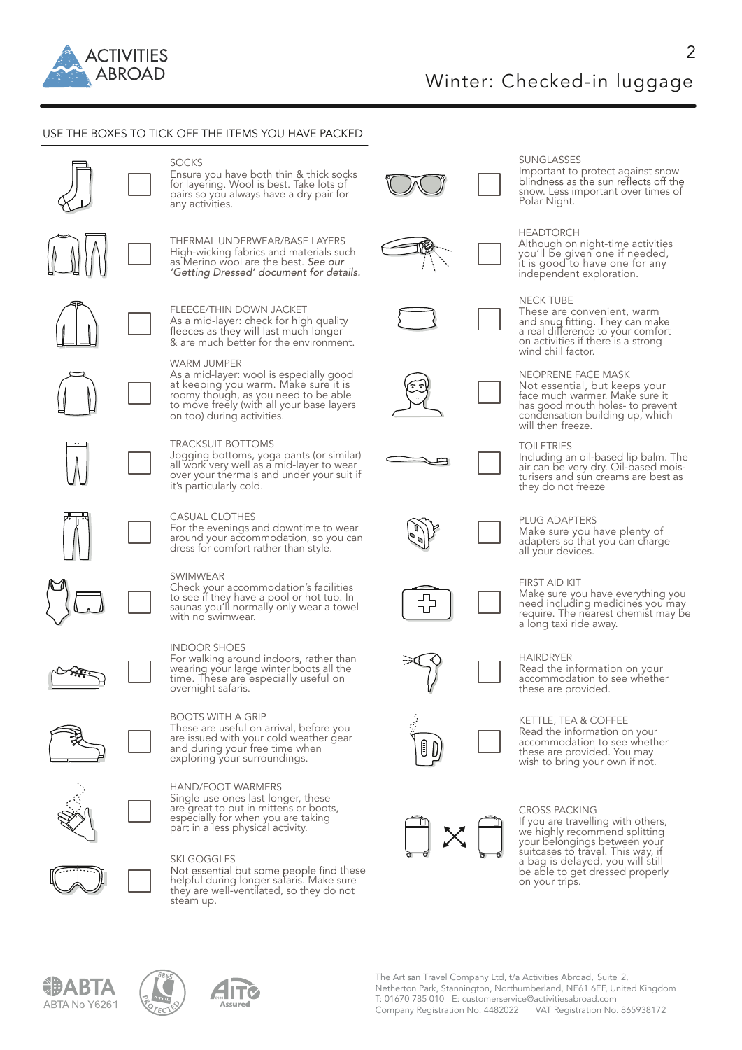

# USE THE BOXES TO TICK OFF THE ITEMS YOU HAVE PACKED



pairs so you always have a dry pair for any activities.

SOCKS<br>Ensure you have both thin & thick socks for layering. Wool is best. Take lots of

THERMAL UNDERWEAR/BASE LAYERS High-wicking fabrics and materials such as Merino wool are the best. *See our 'Getting Dressed' document for details.*

FLEECE/THIN DOWN JACKET As a mid-layer: check for high quality<br>fleeces as they will last much longer & are much better for the environment.

## WARM JUMPER

As a mid-layer: wool is especially good<br>at keeping you warm. Make sure it is at keeping you warm. Make sure it is roomy though, as you need to be able to move freely (with all your base layers on too) during activities.

### TRACKSUIT BOTTOMS

Jogging bottoms, yoga pants (or similar) all work very well as a mid-layer to wear over your thermals and under your suit if it's particularly cold.

### CASUAL CLOTHES

For the evenings and downtime to wear around your accommodation, so you can dress for comfort rather than style.

SWIMWEAR<br>Check your accommodation's facilities Check your accommodation's facilities to see if they have a pool or hot tub. In saunas you'll normally only wear a towel with no swimwear.



### INDOOR SHOES

For walking around indoors, rather than wearing your large winter boots all the<br>time. These are especially useful on<br>overnight safaris.



BOOTS WITH A GRIP

These are useful on arrival, before you are issued with your cold weather gear exploring your surroundings.



# HAND/FOOT WARMERS<br>Single use ones last longer, these are great to put in mittens or boots, especially for when you are taking part in a less physical activity.

SKI GOGGLES

Not essential but some people find these<br>helpful during longer safaris. Make sure<br>they are well-ventilated, so they do not steam up.



















# SUNGLASSES

Important to protect against snow<br>blindness as the sun reflects off the snow. Less important over times of Polar Night.

# HEADTORCH

Although on night-time activities you'll be given one if needed, it is good to have one for any independent exploration.

### NECK TUBE

These are convenient, warm Finds and shug fitting. They can make<br>a real difference to your comfort<br>on activities if there is a strong<br>wind chill factor.

NEOPRENE FACE MASK<br>Not essential, but keeps your Not essential, but keeps your face much warmer. Make sure it has good mouth holes- to prevent condensation building up, which will then freeze.

### TOILETRIES

Including an oil-based lip balm. The air can be very dry. Oil-based mois- turisers and sun creams are best as they do not freeze

# PLUG ADAPTERS

Make sure you have plenty of adapters so that you can charge<br>all your devices.

### FIRST AID KIT

Make sure you have everything you need including medicines you may require. The nearest chemist may be a long taxi ride away.

HAIRDRYER<br>Read the information on your accommodation to see whether these are provided.

KETTLE, TEA & COFFEE<br>Read the information on your Accommodation to see whether<br>these are provided. You may wish to bring your own if not.

CROSS PACKING<br>If you are travelling with others, If you are travelling with others, we highly recommend splitting your belongings between your suitcases to travel. This way, if a bag is delayed, you will still be able to get dressed properly on your trips.





IIT(





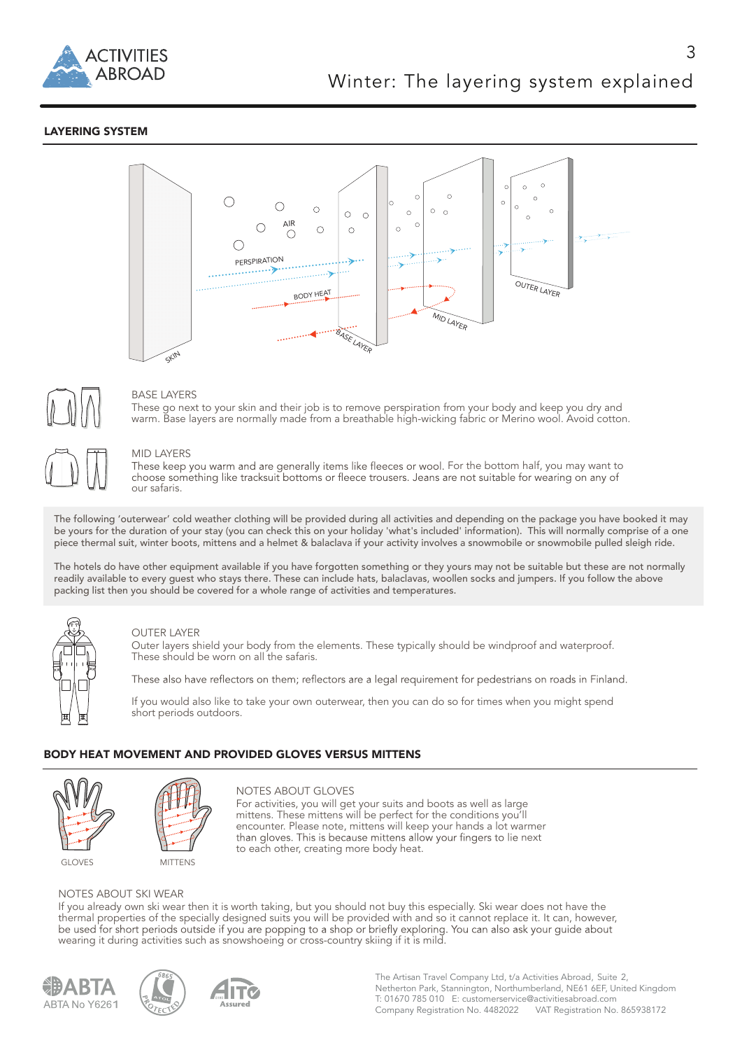

# LAYERING SYSTEM





# BASE LAYERS

These go next to your skin and their job is to remove perspiration from your body and keep you dry and warm. Base layers are normally made from a breathable high-wicking fabric or Merino wool. Avoid cotton.

### MID LAYERS

These keep you warm and are generally items like fleeces or wool. For the bottom half, you may want to<br>choose something like tracksuit bottoms or fleece trousers. Jeans are not suitable for wearing on any of our safaris.

The following 'outerwear' cold weather clothing will be provided during all activities and depending on the package you have booked it may be yours for the duration of your stay (you can check this on your holiday 'what's included' information). This will normally comprise of a one piece thermal suit, winter boots, mittens and a helmet & balaclava if your activity involves a snowmobile or snowmobile pulled sleigh ride.

The hotels do have other equipment available if you have forgotten something or they yours may not be suitable but these are not normally readily available to every guest who stays there. These can include hats, balaclavas, woollen socks and jumpers. If you follow the above packing list then you should be covered for a whole range of activities and temperatures.



### OUTER LAYER

Outer layers shield your body from the elements. These typically should be windproof and waterproof. These should be worn on all the safaris.

These also have reflectors on them; reflectors are a legal requirement for pedestrians on roads in Finland.

If you would also like to take your own outerwear, then you can do so for times when you might spend short periods outdoors.

# BODY HEAT MOVEMENT AND PROVIDED GLOVES VERSUS MITTENS





NOTES ABOUT GLOVES For activities, you will get your suits and boots as well as large mittens. These mittens will be perfect for the conditions you'll encounter. Please note, mittens will keep your hands a lot warmer than gloves. This is because mittens allow your fingers to lie next to each other, creating more body heat.

NOTES ABOUT SKI WEAR If you already own ski wear then it is worth taking, but you should not buy this especially. Ski wear does not have the thermal properties of the specially designed suits you will be provided with and so it cannot replace it. It can, however,<br>be used for short periods outside if you are popping to a shop or briefly exploring. You can also a wearing it during activities such as snowshoeing or cross-country skiing if it is mild.



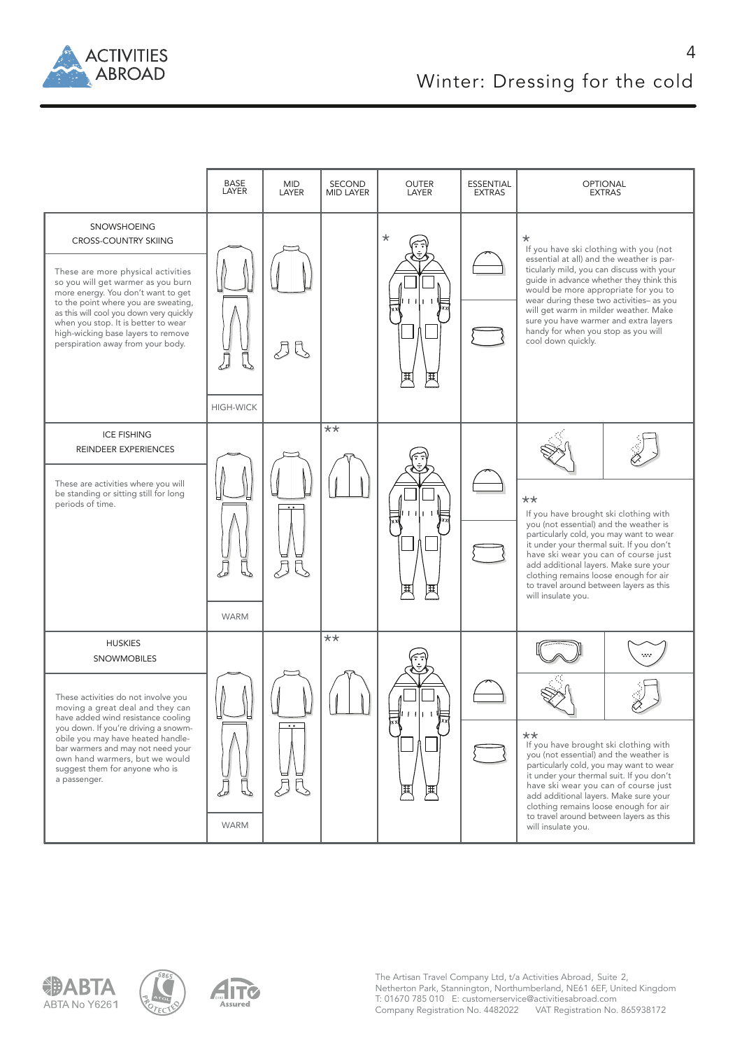

 $\Delta$ 





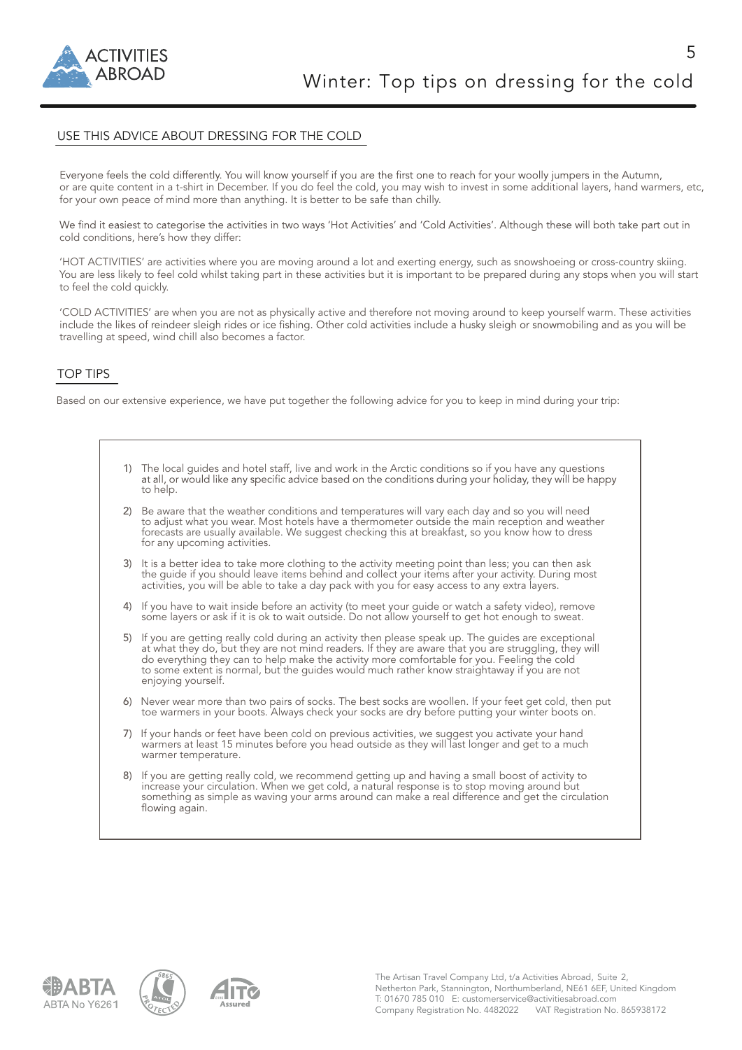

5

# USE THIS ADVICE ABOUT DRESSING FOR THE COLD

Everyone feels the cold differently. You will know yourself if you are the first one to reach for your woolly jumpers in the Autumn, or are quite content in a t-shirt in December. If you do feel the cold, you may wish to invest in some additional layers, hand warmers, etc, for your own peace of mind more than anything. It is better to be safe than chilly.

We find it easiest to categorise the activities in two ways 'Hot Activities' and 'Cold Activities'. Although these will both take part out in cold conditions, here's how they differ:

'HOT ACTIVITIES' are activities where you are moving around a lot and exerting energy, such as snowshoeing or cross-country skiing. You are less likely to feel cold whilst taking part in these activities but it is important to be prepared during any stops when you will start to feel the cold quickly.

'COLD ACTIVITIES' are when you are not as physically active and therefore not moving around to keep yourself warm. These activities include the likes of reindeer sleigh rides or ice fishing. Other cold activities include a husky sleigh or snowmobiling and as you will be travelling at speed, wind chill also becomes a factor.

# TOP TIPS

Based on our extensive experience, we have put together the following advice for you to keep in mind during your trip:

- 1) The local guides and hotel staff, live and work in the Arctic conditions so if you have any questions at all, or would like any specific advice based on the conditions during your holiday, they will be happy to help.
- 2) Be aware that the weather conditions and temperatures will vary each day and so you will need<br>to adjust what you wear. Most hotels have a thermometer outside the main reception and weather forecasts are usually available. We suggest checking this at breakfast, so you know how to dress for any upcoming activities.
- 3) It is a better idea to take more clothing to the activity meeting point than less; you can then ask the guide if you should leave items behind and collect your items after your activity. During most activities, you will be able to take a day pack with you for easy access to any extra layers.
	- 4) If you have to wait inside before an activity (to meet your guide or watch a safety video), remove some layers or ask if it is ok to wait outside. Do not allow yourself to get hot enough to sweat.
- 5) If you are getting really cold during an activity then please speak up. The guides are exceptional at what they do, but they are not mind readers. If they are aware that you are struggling, they will do everything they can to help make the activity more comfortable for you. Feeling the cold to some extent is normal, but the guides would much rather know straightaway if you are not enjoying yourself.
	- 6) Never wear more than two pairs of socks. The best socks are woollen. If your feet get cold, then put toe warmers in your boots. Always check your socks are dry before putting your winter boots on.
	- 7) If your hands or feet have been cold on previous activities, we suggest you activate your hand warmers at least 15 minutes before you head outside as they will last longer and get to a much warmer temperature.
	- 8) If you are getting really cold, we recommend getting up and having a small boost of activity to increase your circulation. When we get cold, a natural response is to stop moving around but something as simple as waving your arms around can make a real difference and get the circulation<br>flowing again.